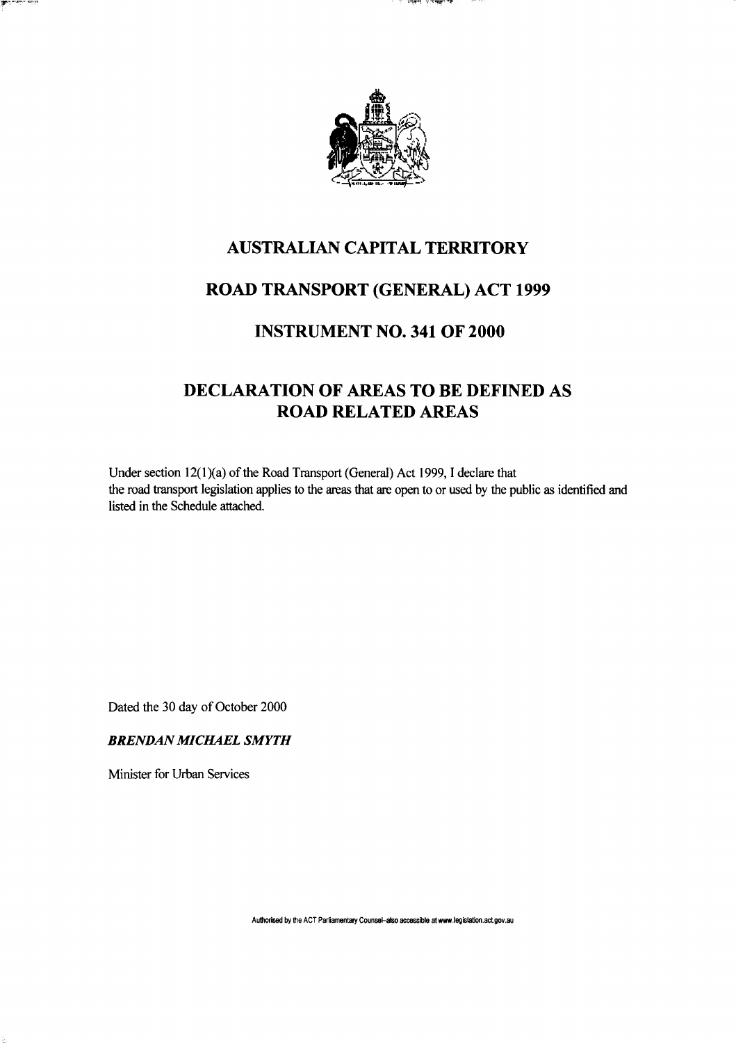



## AUSTRALIAN CAPITAL TERRITORY

## ROAD TRANSPORT (GENERAL) ACT 1999

### INSTRUMENT NO. 341 OF 2000

# DECLARATION OF AREAS TO BE DEFINED AS ROAD RELATED AREAS

Under section 12(1)(a) of the Road Transport (General) Act 1999, I declare that the road transport legislation applies to the areas that are open to or used by the public as identified and listed in the Schedule attached.

Dated the 30 day of October 2000

#### *BRENDAN MICHAEL SMYTH*

Minister for Urban Services

**Authorised by the ACT Parliamentary Counsel-also accessible at www legislation act gov.au**